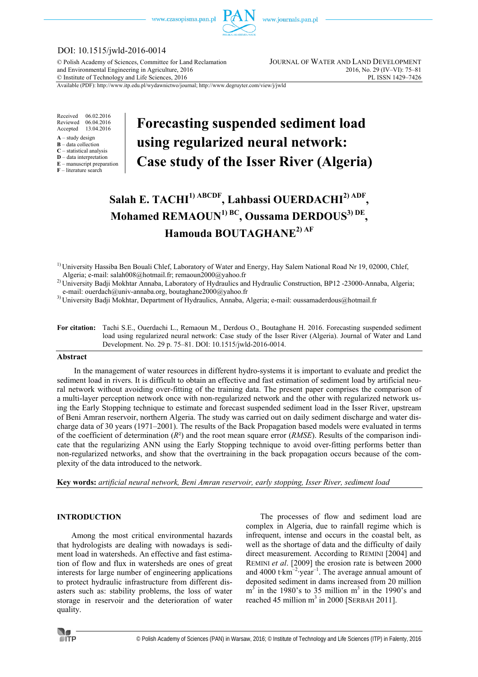

# DOI: 10.1515/jwld-2016-0014

© Polish Academy of Sciences, Committee for Land Reclamation JOURNAL OF WATER AND LAND DEVELOPMENT and Environmental Engineering in Agriculture, 2016 2016 2016, No. 29 (IV–VI): 75–81<br>
© Institute of Technology and Life Sciences, 2016  $©$  Institute of Technology and Life Sciences, 2016

Available (PDF): http://www.itp.edu.pl/wydawnictwo/journal; http://www.degruyter.com/view/j/jwld

Received 06.02.2016 Reviewed 06.04.2016<br>Accepted 13.04.2016 13.04.2016

- **A** study design
- **B** data collection
- **C** statistical analysis **D** – data interpretation
- **E** manuscript preparation

**F** – literature search

# **Forecasting suspended sediment load using regularized neural network: Case study of the Isser River (Algeria)**

**Salah E. TACHI1) ABCDF, Lahbassi OUERDACHI2) ADF , Mohamed REMAOUN1) BC, Oussama DERDOUS3) DE , Hamouda BOUTAGHANE2) AF**

<sup>2)</sup> University Badji Mokhtar Annaba, Laboratory of Hydraulics and Hydraulic Construction, BP12 -23000-Annaba, Algeria; e-mail: ouerdach@univ-annaba.org, boutaghane2000@yahoo.fr

3) University Badji Mokhtar, Department of Hydraulics, Annaba, Algeria; e-mail: oussamaderdous@hotmail.fr

**For citation:** Tachi S.E., Ouerdachi L., Remaoun M., Derdous O., Boutaghane H. 2016. Forecasting suspended sediment load using regularized neural network: Case study of the Isser River (Algeria). Journal of Water and Land Development. No. 29 p. 75–81. DOI: 10.1515/jwld-2016-0014.

# **Abstract**

In the management of water resources in different hydro-systems it is important to evaluate and predict the sediment load in rivers. It is difficult to obtain an effective and fast estimation of sediment load by artificial neural network without avoiding over-fitting of the training data. The present paper comprises the comparison of a multi-layer perception network once with non-regularized network and the other with regularized network using the Early Stopping technique to estimate and forecast suspended sediment load in the Isser River, upstream of Beni Amran reservoir, northern Algeria. The study was carried out on daily sediment discharge and water discharge data of 30 years (1971–2001). The results of the Back Propagation based models were evaluated in terms of the coefficient of determination (*R*²) and the root mean square error (*RMSE*). Results of the comparison indicate that the regularizing ANN using the Early Stopping technique to avoid over-fitting performs better than non-regularized networks, and show that the overtraining in the back propagation occurs because of the complexity of the data introduced to the network.

**Key words:** *artificial neural network, Beni Amran reservoir, early stopping, Isser River, sediment load* 

# **INTRODUCTION**

Among the most critical environmental hazards that hydrologists are dealing with nowadays is sediment load in watersheds. An effective and fast estimation of flow and flux in watersheds are ones of great interests for large number of engineering applications to protect hydraulic infrastructure from different disasters such as: stability problems, the loss of water storage in reservoir and the deterioration of water quality.

The processes of flow and sediment load are complex in Algeria, due to rainfall regime which is infrequent, intense and occurs in the coastal belt, as well as the shortage of data and the difficulty of daily direct measurement. According to REMINI [2004] and REMINI *et al*. [2009] the erosion rate is between 2000 and 4000 t∙km–2∙year–1. The average annual amount of deposited sediment in dams increased from 20 million  $m^3$  in the 1980's to 35 million  $m^3$  in the 1990's and reached 45 million  $m^3$  in 2000 [SERBAH 2011].



<sup>&</sup>lt;sup>1)</sup> University Hassiba Ben Bouali Chlef, Laboratory of Water and Energy, Hay Salem National Road Nr 19, 02000, Chlef, Algeria; e-mail: salah008@hotmail.fr; remaoun2000@yahoo.fr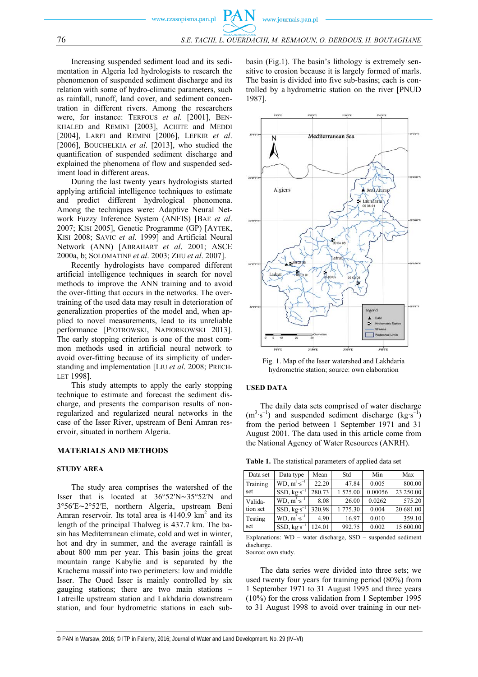Increasing suspended sediment load and its sedimentation in Algeria led hydrologists to research the phenomenon of suspended sediment discharge and its relation with some of hydro-climatic parameters, such as rainfall, runoff, land cover, and sediment concentration in different rivers. Among the researchers were, for instance: TERFOUS *et al*. [2001], BEN-KHALED and REMINI [2003], ACHITE and MEDDI [2004], LARFI and REMINI [2006], LEFKIR *et al*. [2006], BOUCHELKIA *et al*. [2013], who studied the quantification of suspended sediment discharge and explained the phenomena of flow and suspended sediment load in different areas.

During the last twenty years hydrologists started applying artificial intelligence techniques to estimate and predict different hydrological phenomena. Among the techniques were: Adaptive Neural Network Fuzzy Inference System (ANFIS) [BAE *et al*. 2007; KISI 2005], Genetic Programme (GP) [AYTEK, KISI 2008; SAVIC *et al*. 1999] and Artificial Neural Network (ANN) [ABRAHART *et al*. 2001; ASCE 2000a, b; SOLOMATINE *et al*. 2003; ZHU *et al*. 2007].

Recently hydrologists have compared different artificial intelligence techniques in search for novel methods to improve the ANN training and to avoid the over-fitting that occurs in the networks. The overtraining of the used data may result in deterioration of generalization properties of the model and, when applied to novel measurements, lead to its unreliable performance [PIOTROWSKI, NAPIORKOWSKI 2013]. The early stopping criterion is one of the most common methods used in artificial neural network to avoid over-fitting because of its simplicity of understanding and implementation [LIU *et al*. 2008; PRECH-LET 1998].

This study attempts to apply the early stopping technique to estimate and forecast the sediment discharge, and presents the comparison results of nonregularized and regularized neural networks in the case of the Isser River, upstream of Beni Amran reservoir, situated in northern Algeria.

# **MATERIALS AND METHODS**

# **STUDY AREA**

The study area comprises the watershed of the Isser that is located at 36°52ʹN∼35°52ʹN and 3°56ʹE∼2°52ʹE, northern Algeria, upstream Beni Amran reservoir. Its total area is  $4140.9 \text{ km}^2$  and its length of the principal Thalweg is 437.7 km. The basin has Mediterranean climate, cold and wet in winter, hot and dry in summer, and the average rainfall is about 800 mm per year. This basin joins the great mountain range Kabylie and is separated by the Krachema massif into two perimeters: low and middle Isser. The Oued Isser is mainly controlled by six gauging stations; there are two main stations – Latreille upstream station and Lakhdaria downstream station, and four hydrometric stations in each subbasin (Fig.1). The basin's lithology is extremely sensitive to erosion because it is largely formed of marls. The basin is divided into five sub-basins; each is controlled by a hydrometric station on the river [PNUD 1987].



Fig. 1. Map of the Isser watershed and Lakhdaria hydrometric station; source: own elaboration

#### **USED DATA**

The daily data sets comprised of water discharge  $(m<sup>3</sup>·s<sup>-1</sup>)$  and suspended sediment discharge (kg⋅s<sup>-1</sup>) from the period between 1 September 1971 and 31 August 2001. The data used in this article come from the National Agency of Water Resources (ANRH).

**Table 1.** The statistical parameters of applied data set

| Data set            | Data type              | Mean   | Std      | Min     | Max       |
|---------------------|------------------------|--------|----------|---------|-----------|
| Training            | $WD, m^3 \cdot s^{-1}$ | 22.20  | 47.84    | 0.005   | 800.00    |
| set                 | $SSD, kg·s^{-1}$       | 280.73 | 1 525.00 | 0.00056 | 23 250.00 |
| Valida-<br>tion set | $WD, m^3·s^{-1}$       | 8.08   | 26.00    | 0.0262  | 575.20    |
|                     | SSD, $kg \cdot s^{-1}$ | 320.98 | 1 775.30 | 0.004   | 20 681.00 |
| Testing<br>set      | $WD, m^3·s^{-1}$       | 4.90   | 16.97    | 0.010   | 359.10    |
|                     | $SSD, kg·s^{-1}$       | 124.01 | 992.75   | 0.002   | 15 600.00 |

Explanations: WD – water discharge, SSD – suspended sediment discharge.

Source: own study.

The data series were divided into three sets; we used twenty four years for training period (80%) from 1 September 1971 to 31 August 1995 and three years (10%) for the cross validation from 1 September 1995 to 31 August 1998 to avoid over training in our net-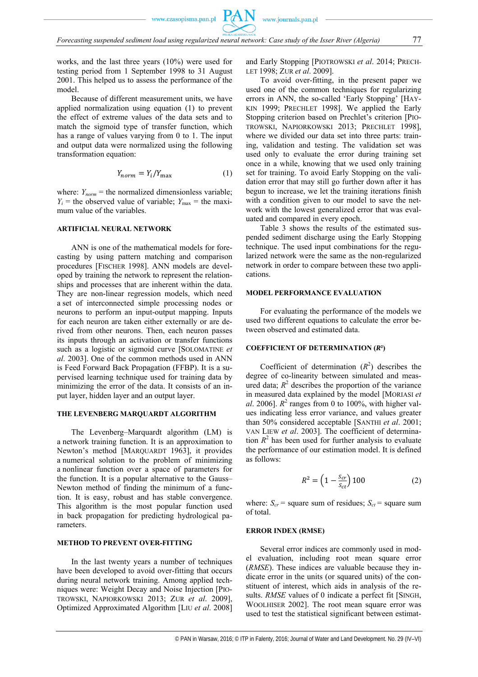

works, and the last three years (10%) were used for testing period from 1 September 1998 to 31 August 2001. This helped us to assess the performance of the model.

Because of different measurement units, we have applied normalization using equation (1) to prevent the effect of extreme values of the data sets and to match the sigmoid type of transfer function, which has a range of values varying from 0 to 1. The input and output data were normalized using the following transformation equation:

$$
Y_{norm} = Y_i / Y_{\text{max}} \tag{1}
$$

where:  $Y_{norm}$  = the normalized dimensionless variable;  $Y_i$  = the observed value of variable;  $Y_{\text{max}}$  = the maximum value of the variables.

# **ARTIFICIAL NEURAL NETWORK**

ANN is one of the mathematical models for forecasting by using pattern matching and comparison procedures [FISCHER 1998]. ANN models are developed by training the network to represent the relationships and processes that are inherent within the data. They are non-linear regression models, which need a set of interconnected simple processing nodes or neurons to perform an input-output mapping. Inputs for each neuron are taken either externally or are derived from other neurons. Then, each neuron passes its inputs through an activation or transfer functions such as a logistic or sigmoid curve [SOLOMATINE *et al*. 2003]. One of the common methods used in ANN is Feed Forward Back Propagation (FFBP). It is a supervised learning technique used for training data by minimizing the error of the data. It consists of an input layer, hidden layer and an output layer.

#### **THE LEVENBERG MARQUARDT ALGORITHM**

The Levenberg–Marquardt algorithm (LM) is a network training function. It is an approximation to Newton's method [MARQUARDT 1963], it provides a numerical solution to the problem of minimizing a nonlinear function over a space of parameters for the function. It is a popular alternative to the Gauss– Newton method of finding the minimum of a function. It is easy, robust and has stable convergence. This algorithm is the most popular function used in back propagation for predicting hydrological parameters.

# **METHOD TO PREVENT OVER-FITTING**

In the last twenty years a number of techniques have been developed to avoid over-fitting that occurs during neural network training. Among applied techniques were: Weight Decay and Noise Injection [PIO-TROWSKI, NAPIORKOWSKI 2013; ZUR *et al*. 2009], Optimized Approximated Algorithm [LIU *et al*. 2008] and Early Stopping [PIOTROWSKI *et al*. 2014; PRECH-LET 1998; ZUR *et al*. 2009].

To avoid over-fitting, in the present paper we used one of the common techniques for regularizing errors in ANN, the so-called 'Early Stopping' [HAY-KIN 1999; PRECHLET 1998]. We applied the Early Stopping criterion based on Prechlet's criterion [PIO-TROWSKI, NAPIORKOWSKI 2013; PRECHLET 1998], where we divided our data set into three parts: training, validation and testing. The validation set was used only to evaluate the error during training set once in a while, knowing that we used only training set for training. To avoid Early Stopping on the validation error that may still go further down after it has begun to increase, we let the training iterations finish with a condition given to our model to save the network with the lowest generalized error that was evaluated and compared in every epoch.

Table 3 shows the results of the estimated suspended sediment discharge using the Early Stopping technique. The used input combinations for the regularized network were the same as the non-regularized network in order to compare between these two applications.

#### **MODEL PERFORMANCE EVALUATION**

For evaluating the performance of the models we used two different equations to calculate the error between observed and estimated data.

#### **COEFFICIENT OF DETERMINATION (***R***²)**

Coefficient of determination  $(R^2)$  describes the degree of co-linearity between simulated and measured data;  $R^2$  describes the proportion of the variance in measured data explained by the model [MORIASI *et*  al. 2006].  $R^2$  ranges from 0 to 100%, with higher values indicating less error variance, and values greater than 50% considered acceptable [SANTHI *et al*. 2001; VAN LIEW *et al*. 2003]. The coefficient of determination  $R<sup>2</sup>$  has been used for further analysis to evaluate the performance of our estimation model. It is defined as follows:

$$
R^2 = \left(1 - \frac{s_{cr}}{s_{ct}}\right)100\tag{2}
$$

where:  $S_{cr}$  = square sum of residues;  $S_{ct}$  = square sum of total.

#### **ERROR INDEX (RMSE)**

Several error indices are commonly used in model evaluation, including root mean square error (*RMSE*). These indices are valuable because they indicate error in the units (or squared units) of the constituent of interest, which aids in analysis of the results. *RMSE* values of 0 indicate a perfect fit [SINGH, WOOLHISER 2002]. The root mean square error was used to test the statistical significant between estimat-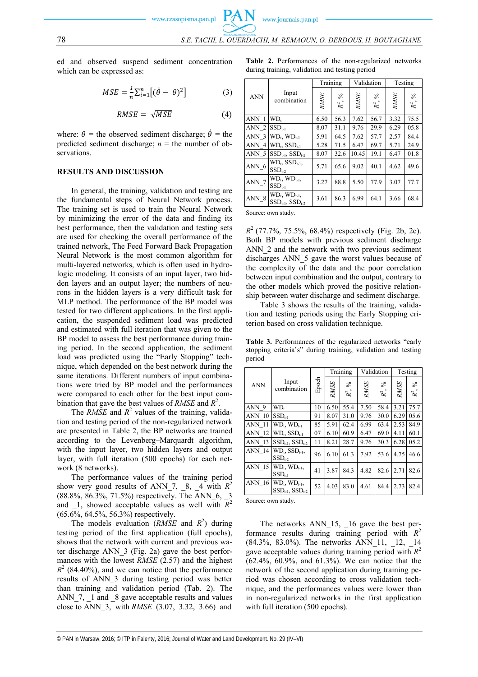ed and observed suspend sediment concentration which can be expressed as:

$$
MSE = \frac{1}{n} \sum_{i=1}^{n} \left[ (\dot{\theta} - \theta)^2 \right] \tag{3}
$$

$$
RMSE = \sqrt{MSE} \tag{4}
$$

where:  $\theta$  = the observed sediment discharge;  $\dot{\theta}$  = the predicted sediment discharge;  $n =$  the number of observations.

# **RESULTS AND DISCUSSION**

In general, the training, validation and testing are the fundamental steps of Neural Network process. The training set is used to train the Neural Network by minimizing the error of the data and finding its best performance, then the validation and testing sets are used for checking the overall performance of the trained network, The Feed Forward Back Propagation Neural Network is the most common algorithm for multi-layered networks, which is often used in hydrologic modeling. It consists of an input layer, two hidden layers and an output layer; the numbers of neurons in the hidden layers is a very difficult task for MLP method. The performance of the BP model was tested for two different applications. In the first application, the suspended sediment load was predicted and estimated with full iteration that was given to the BP model to assess the best performance during training period. In the second application, the sediment load was predicted using the "Early Stopping" technique, which depended on the best network during the same iterations. Different numbers of input combinations were tried by BP model and the performances were compared to each other for the best input combination that gave the best values of *RMSE* and *R*<sup>2</sup> .

The *RMSE* and  $R^2$  values of the training, validation and testing period of the non-regularized network are presented in Table 2, the BP networks are trained according to the Levenberg–Marquardt algorithm, with the input layer, two hidden layers and output layer, with full iteration (500 epochs) for each network (8 networks).

The performance values of the training period show very good results of ANN 7,  $\,8, \,4$  with  $\,R^2$ (88.8%, 86.3%, 71.5%) respectively. The ANN\_6, \_3 and  $\overline{\phantom{a}}$ 1, showed acceptable values as well with  $\overline{R}^2$ (65.6%, 64.5%, 56.3%) respectively.

The models evaluation ( $RMSE$  and  $R^2$ ) during testing period of the first application (full epochs), shows that the network with current and previous water discharge ANN\_3 (Fig. 2a) gave the best performances with the lowest *RMSE* (2.57) and the highest  $R<sup>2</sup>$  (84.40%), and we can notice that the performance results of ANN\_3 during testing period was better than training and validation period (Tab. 2). The ANN 7, 1 and 8 gave acceptable results and values close to ANN\_3, with *RMSE* (3.07, 3.32, 3.66) and

**Table 2.** Performances of the non-regularized networks during training, validation and testing period

| <b>ANN</b> | Input<br>combination                               | Training    |                         |             | Validation  | Testing     |                 |
|------------|----------------------------------------------------|-------------|-------------------------|-------------|-------------|-------------|-----------------|
|            |                                                    | <b>RMSE</b> | $\%$<br>$\mathbb{R}^2,$ | <b>RMSE</b> | $R^2,$ $\%$ | <b>RMSE</b> | $\%$<br>$R^2$ , |
| ANN 1      | WD.                                                | 6.50        | 56.3                    | 7.62        | 56.7        | 3.32        | 75.5            |
| ANN 2      | $SSD_{t-1}$                                        | 8.07        | 31.1                    | 9.76        | 29.9        | 6.29        | 05.8            |
| ANN 3      | $WD_t$ , $WD_{t-1}$                                | 5.91        | 64.5                    | 7.62        | 57.7        | 2.57        | 84.4            |
| ANN 4      | $WD_t$ , $SSD_{t-1}$                               | 5.28        | 71.5                    | 6.47        | 69.7        | 5.71        | 24.9            |
| ANN 5      | $SSD_{t-1}$ , $SSD_{t-2}$                          | 8.07        | 32.6                    | 10.45       | 19.1        | 6.47        | 01.8            |
| $ANN_6$    | $WD_t$ , $SSD_{t-1}$ ,<br>$SSD_{t-2}$              | 5.71        | 65.6                    | 9.02        | 40.1        | 4.62        | 49.6            |
| ANN_7      | $WD_t$ , $WD_{t-1}$ ,<br>$SSD_{t-1}$               | 3.27        | 88.8                    | 5.50        | 77.9        | 3.07        | 77.7            |
| ANN 8      | $WD_t$ , $WD_{t-1}$ ,<br>$SSD_{t-1}$ , $SSD_{t-2}$ | 3.61        | 86.3                    | 6.99        | 64.1        | 3.66        | 68.4            |

Source: own study.

*R*<sup>2</sup> (77.7%, 75.5%, 68.4%) respectively (Fig. 2b, 2c). Both BP models with previous sediment discharge ANN 2 and the network with two previous sediment discharges ANN\_5 gave the worst values because of the complexity of the data and the poor correlation between input combination and the output, contrary to the other models which proved the positive relationship between water discharge and sediment discharge.

Table 3 shows the results of the training, validation and testing periods using the Early Stopping criterion based on cross validation technique.

**Table 3.** Performances of the regularized networks "early stopping criteria's" during training, validation and testing period

| <b>ANN</b>       | Input<br>combination                               | Epoch | Training    |             | Validation  |                 | Testing     |                 |
|------------------|----------------------------------------------------|-------|-------------|-------------|-------------|-----------------|-------------|-----------------|
|                  |                                                    |       | <b>RMSE</b> | $R^2,\, \%$ | <b>RMSE</b> | $\%$<br>$R^2$ , | <b>RMSE</b> | $\%$<br>$R^2$ , |
| ANN 9            | WD <sub>t</sub>                                    | 10    | 6.50        | 55.4        | 7.50        | 58.4            | 3.21        | 75.7            |
| <b>ANN 10</b>    | $SSD_{t-1}$                                        | 91    | 8.07        | 31.0        | 9.76        | 30.0            | 6.29        | 05.6            |
| ANN 11           | $WD_t$ , $WD_{t-1}$                                | 85    | 5.91        | 62.4        | 6.99        | 63.4            | 2.53        | 84.9            |
| <b>ANN</b><br>12 | $WD_t$ , $SSD_{t-1}$                               | 07    | 6.10        | 60.9        | 6.47        | 69.0            | 4.11        | 60.1            |
| <b>ANN 13</b>    | $SSD_{t-1}$ , $SSD_{t-2}$                          | 11    | 8.21        | 28.7        | 9.76        | 30.3            | 6.28        | 05.2            |
| <b>ANN 14</b>    | $WD_t$ , $SSD_{t-1}$ ,<br>$SSD_{t-2}$              | 96    | 6.10        | 61.3        | 7.92        | 53.6            | 4.75        | 46.6            |
| <b>ANN 15</b>    | $WD_t$ , $WD_{t-1}$ ,<br>$SSD_{t-1}$               | 41    | 3.87        | 84.3        | 4.82        | 82.6            | 2.71        | 82.6            |
| <b>ANN 16</b>    | $WD_t$ , $WD_{t-1}$ ,<br>$SSD_{t-1}$ , $SSD_{t-2}$ | 52    | 4.03        | 83.0        | 4.61        | 84.4            | 2.73        | 82.4            |

Source: own study.

The networks ANN 15, 16 gave the best performance results during training period with  $R^2$ (84.3%, 83.0%). The networks ANN\_11, \_12, \_14 gave acceptable values during training period with  $R^2$ (62.4%, 60.9%, and 61.3%). We can notice that the network of the second application during training period was chosen according to cross validation technique, and the performances values were lower than in non-regularized networks in the first application with full iteration (500 epochs).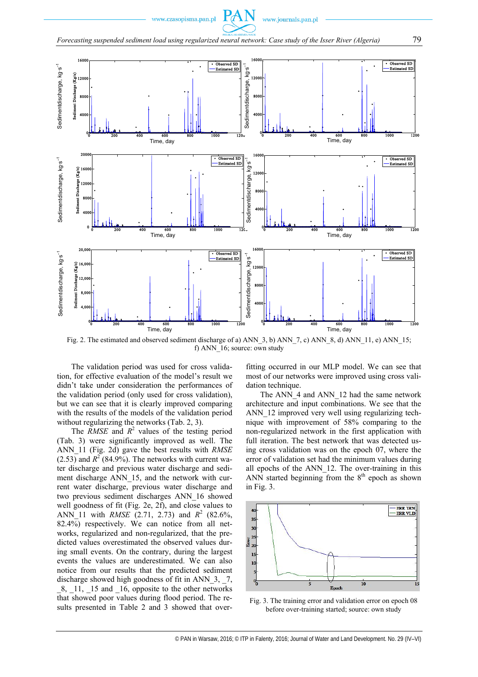



Fig. 2. The estimated and observed sediment discharge of a) ANN\_3, b) ANN\_7, c) ANN\_8, d) ANN\_11, e) ANN\_15; f) ANN\_16; source: own study

The validation period was used for cross validation, for effective evaluation of the model's result we didn't take under consideration the performances of the validation period (only used for cross validation), but we can see that it is clearly improved comparing with the results of the models of the validation period without regularizing the networks (Tab. 2, 3).

The *RMSE* and  $R^2$  values of the testing period (Tab. 3) were significantly improved as well. The ANN\_11 (Fig. 2d) gave the best results with *RMSE*  $(2.53)$  and  $R^2$  (84.9%). The networks with current water discharge and previous water discharge and sediment discharge ANN 15, and the network with current water discharge, previous water discharge and two previous sediment discharges ANN\_16 showed well goodness of fit (Fig. 2e, 2f), and close values to ANN 11 with *RMSE* (2.71, 2.73) and  $R^2$  (82.6%, 82.4%) respectively. We can notice from all networks, regularized and non-regularized, that the predicted values overestimated the observed values during small events. On the contrary, during the largest events the values are underestimated. We can also notice from our results that the predicted sediment discharge showed high goodness of fit in ANN\_3, \_7, \_8, \_11, \_15 and \_16, opposite to the other networks that showed poor values during flood period. The results presented in Table 2 and 3 showed that overfitting occurred in our MLP model. We can see that most of our networks were improved using cross validation technique.

The ANN 4 and ANN 12 had the same network architecture and input combinations. We see that the ANN 12 improved very well using regularizing technique with improvement of 58% comparing to the non-regularized network in the first application with full iteration. The best network that was detected using cross validation was on the epoch 07, where the error of validation set had the minimum values during all epochs of the ANN\_12. The over-training in this ANN started beginning from the  $8<sup>th</sup>$  epoch as shown in Fig. 3.



Fig. 3. The training error and validation error on epoch 08 before over-training started; source: own study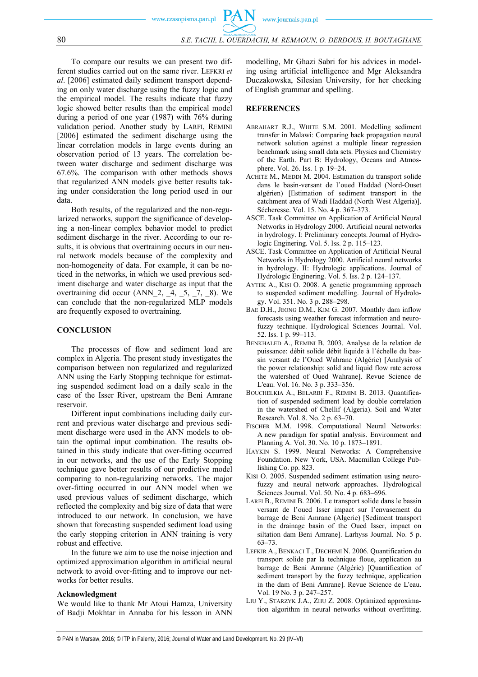www.journals.pan.pl www.czasopisma.pan.pl 80 *S.E. TACHI, L. OUERDACHI, M. REMAOUN, O. DERDOUS, H. BOUTAGHANE*

To compare our results we can present two different studies carried out on the same river. LEFKRI *et al*. [2006] estimated daily sediment transport depending on only water discharge using the fuzzy logic and the empirical model. The results indicate that fuzzy logic showed better results than the empirical model during a period of one year (1987) with 76% during validation period. Another study by LARFI, REMINI [2006] estimated the sediment discharge using the linear correlation models in large events during an observation period of 13 years. The correlation between water discharge and sediment discharge was 67.6%. The comparison with other methods shows that regularized ANN models give better results taking under consideration the long period used in our data.

Both results, of the regularized and the non-regularized networks, support the significance of developing a non-linear complex behavior model to predict sediment discharge in the river. According to our results, it is obvious that overtraining occurs in our neural network models because of the complexity and non-homogeneity of data. For example, it can be noticed in the networks, in which we used previous sediment discharge and water discharge as input that the overtraining did occur  $(ANN_2, 4, 5, 7, 8)$ . We can conclude that the non-regularized MLP models are frequently exposed to overtraining.

# **CONCLUSION**

The processes of flow and sediment load are complex in Algeria. The present study investigates the comparison between non regularized and regularized ANN using the Early Stopping technique for estimating suspended sediment load on a daily scale in the case of the Isser River, upstream the Beni Amrane reservoir.

Different input combinations including daily current and previous water discharge and previous sediment discharge were used in the ANN models to obtain the optimal input combination. The results obtained in this study indicate that over-fitting occurred in our networks, and the use of the Early Stopping technique gave better results of our predictive model comparing to non-regularizing networks. The major over-fitting occurred in our ANN model when we used previous values of sediment discharge, which reflected the complexity and big size of data that were introduced to our network. In conclusion, we have shown that forecasting suspended sediment load using the early stopping criterion in ANN training is very robust and effective.

In the future we aim to use the noise injection and optimized approximation algorithm in artificial neural network to avoid over-fitting and to improve our networks for better results.

#### **Acknowledgment**

We would like to thank Mr Atoui Hamza, University of Badji Mokhtar in Annaba for his lesson in ANN modelling, Mr Ghazi Sabri for his advices in modeling using artificial intelligence and Mgr Aleksandra Duczakowska, Silesian University, for her checking of English grammar and spelling.

## **REFERENCES**

- ABRAHART R.J., WHITE S.M. 2001. Modelling sediment transfer in Malawi: Comparing back propagation neural network solution against a multiple linear regression benchmark using small data sets. Physics and Chemistry of the Earth. Part B: Hydrology, Oceans and Atmosphere. Vol. 26. Iss. 1 p. 19–24.
- ACHITE M., MEDDI M. 2004. Estimation du transport solide dans le basin-versant de l'oued Haddad (Nord-Ouset algérien) [Estimation of sediment transport in the catchment area of Wadi Haddad (North West Algeria)]. Sécheresse. Vol. 15. No. 4 p. 367–373.
- ASCE. Task Committee on Application of Artificial Neural Networks in Hydrology 2000. Artificial neural networks in hydrology. I: Preliminary concepts. Journal of Hydrologic Enginering. Vol. 5. Iss. 2 p. 115–123.
- ASCE. Task Committee on Application of Artificial Neural Networks in Hydrology 2000. Artificial neural networks in hydrology. II: Hydrologic applications. Journal of Hydrologic Enginering. Vol. 5. Iss. 2 p. 124–137.
- AYTEK A., KISI O. 2008. A genetic programming approach to suspended sediment modelling. Journal of Hydrology. Vol. 351. No. 3 p. 288–298.
- BAE D.H., JEONG D.M., KIM G. 2007. Monthly dam inflow forecasts using weather forecast information and neurofuzzy technique. Hydrological Sciences Journal. Vol. 52. Iss. 1 p. 99–113.
- BENKHALED A., REMINI B. 2003. Analyse de la relation de puissance: débit solide débit liquide à l'échelle du bassin versant de l'Oued Wahrane (Algérie) [Analysis of the power relationship: solid and liquid flow rate across the watershed of Oued Wahrane]. Revue Science de L'eau. Vol. 16. No. 3 p. 333–356.
- BOUCHELKIA A., BELARBI F., REMINI B. 2013. Quantification of suspended sediment load by double correlation in the watershed of Chellif (Algeria). Soil and Water Research. Vol. 8. No. 2 p. 63–70.
- FISCHER M.M. 1998. Computational Neural Networks: A new paradigm for spatial analysis. Environment and Planning A. Vol. 30. No. 10 p. 1873–1891.
- HAYKIN S. 1999. Neural Networks: A Comprehensive Foundation. New York, USA. Macmillan College Publishing Co. pp. 823.
- KISI O. 2005. Suspended sediment estimation using neurofuzzy and neural network approaches. Hydrological Sciences Journal. Vol. 50. No. 4 p. 683–696.
- LARFI B., REMINI B. 2006. Le transport solide dans le bassin versant de l'oued Isser impact sur l'envasement du barrage de Beni Amrane (Algerie) [Sediment transport in the drainage basin of the Oued Isser, impact on siltation dam Beni Amrane]. Larhyss Journal. No. 5 p. 63–73.
- LEFKIR A., BENKACI T., DECHEMI N. 2006. Quantification du transport solide par la technique floue, application au barrage de Beni Amrane (Algérie) [Quantification of sediment transport by the fuzzy technique, application in the dam of Beni Amrane]. Revue Science de L'eau. Vol. 19 No. 3 p. 247–257.
- LIU Y., STARZYK J.A., ZHU Z. 2008. Optimized approximation algorithm in neural networks without overfitting.